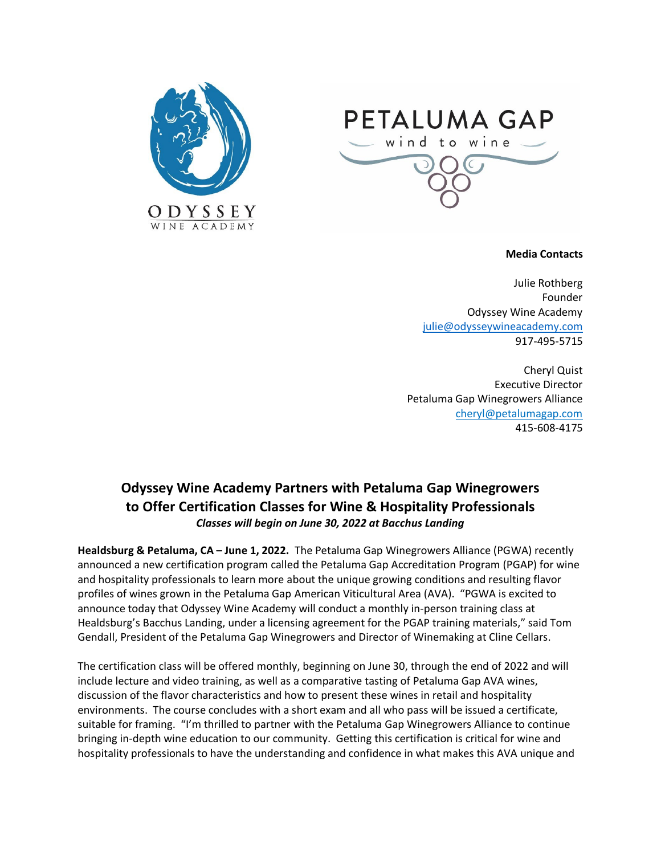



## **Media Contacts**

Julie Rothberg Founder Odyssey Wine Academy [julie@odysseywineacademy.com](mailto:julie@odysseywineacademy.com) 917-495-5715

Cheryl Quist Executive Director Petaluma Gap Winegrowers Alliance [cheryl@petalumagap.com](mailto:cheryl@petalumagap.com) 415-608-4175

## **Odyssey Wine Academy Partners with Petaluma Gap Winegrowers to Offer Certification Classes for Wine & Hospitality Professionals** *Classes will begin on June 30, 2022 at Bacchus Landing*

**Healdsburg & Petaluma, CA – June 1, 2022.** The Petaluma Gap Winegrowers Alliance (PGWA) recently announced a new certification program called the Petaluma Gap Accreditation Program (PGAP) for wine and hospitality professionals to learn more about the unique growing conditions and resulting flavor profiles of wines grown in the Petaluma Gap American Viticultural Area (AVA). "PGWA is excited to announce today that Odyssey Wine Academy will conduct a monthly in-person training class at Healdsburg's Bacchus Landing, under a licensing agreement for the PGAP training materials," said Tom Gendall, President of the Petaluma Gap Winegrowers and Director of Winemaking at Cline Cellars.

The certification class will be offered monthly, beginning on June 30, through the end of 2022 and will include lecture and video training, as well as a comparative tasting of Petaluma Gap AVA wines, discussion of the flavor characteristics and how to present these wines in retail and hospitality environments. The course concludes with a short exam and all who pass will be issued a certificate, suitable for framing. "I'm thrilled to partner with the Petaluma Gap Winegrowers Alliance to continue bringing in-depth wine education to our community. Getting this certification is critical for wine and hospitality professionals to have the understanding and confidence in what makes this AVA unique and